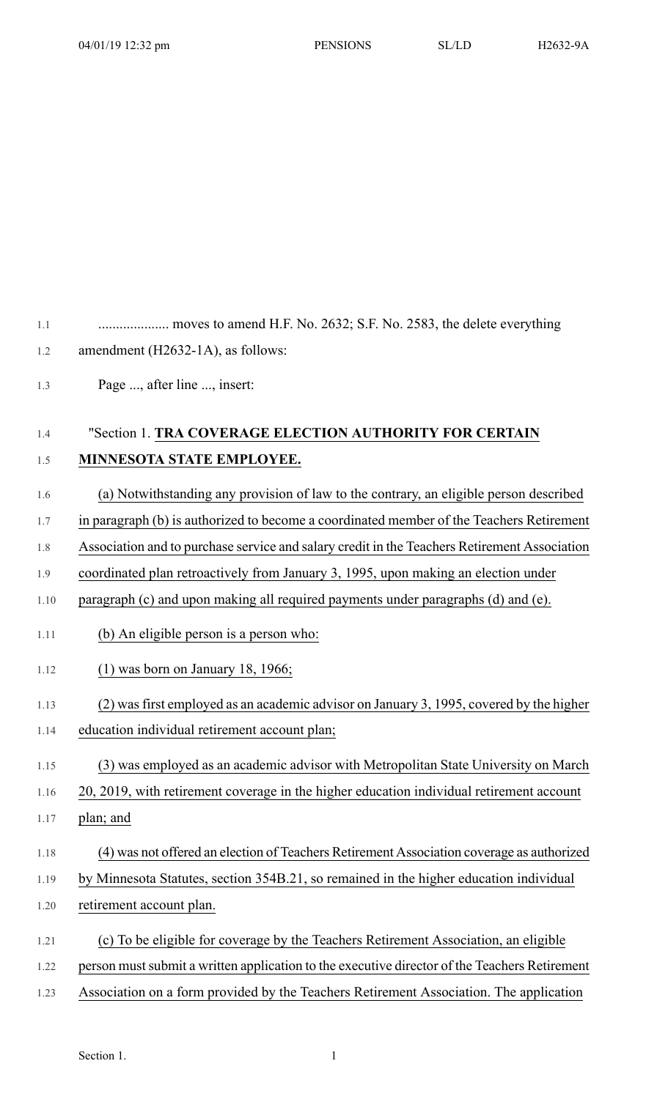1.1 .................... moves to amend H.F. No. 2632; S.F. No. 2583, the delete everything 1.2 amendment (H2632-1A), as follows:

1.3 Page ..., after line ..., insert:

## 1.4 "Section 1. **TRA COVERAGE ELECTION AUTHORITY FOR CERTAIN** 1.5 **MINNESOTA STATE EMPLOYEE.**

- 1.6 (a) Notwithstanding any provision of law to the contrary, an eligible person described
- 1.7 in paragraph (b) is authorized to become a coordinated member of the Teachers Retirement
- 1.8 Association and to purchase service and salary credit in the Teachers Retirement Association
- 1.9 coordinated plan retroactively from January 3, 1995, upon making an election under
- 1.10 paragraph (c) and upon making all required payments under paragraphs (d) and (e).
- 1.11 (b) An eligible person is a person who:
- 1.12 (1) was born on January 18, 1966;
- 1.13 (2) wasfirst employed as an academic advisor on January 3, 1995, covered by the higher
- 1.14 education individual retirement account plan;
- 1.15 (3) was employed as an academic advisor with Metropolitan State University on March
- 1.16 20, 2019, with retirement coverage in the higher education individual retirement account
- 1.17 plan; and
- 1.18 (4) was not offered an election of Teachers Retirement Association coverage as authorized
- 1.19 by Minnesota Statutes, section 354B.21, so remained in the higher education individual
- 1.20 retirement account plan.
- 1.21 (c) To be eligible for coverage by the Teachers Retirement Association, an eligible
- 1.22 person must submit a written application to the executive director of the Teachers Retirement
- 1.23 Association on a form provided by the Teachers Retirement Association. The application